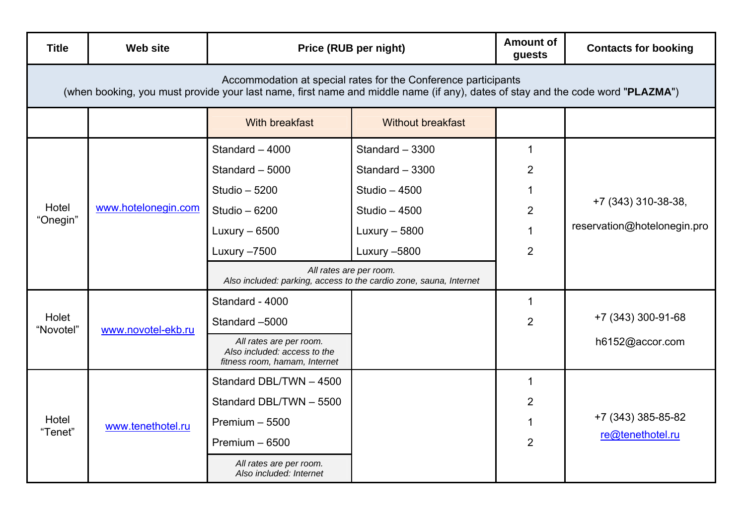| <b>Title</b>                                                                                                                                                                                     | <b>Web site</b>     | Price (RUB per night)                                                                                                                          |                                                                                                                                                                                                                       | <b>Amount of</b><br>guests                                   | <b>Contacts for booking</b>                        |  |  |  |
|--------------------------------------------------------------------------------------------------------------------------------------------------------------------------------------------------|---------------------|------------------------------------------------------------------------------------------------------------------------------------------------|-----------------------------------------------------------------------------------------------------------------------------------------------------------------------------------------------------------------------|--------------------------------------------------------------|----------------------------------------------------|--|--|--|
| Accommodation at special rates for the Conference participants<br>(when booking, you must provide your last name, first name and middle name (if any), dates of stay and the code word "PLAZMA") |                     |                                                                                                                                                |                                                                                                                                                                                                                       |                                                              |                                                    |  |  |  |
|                                                                                                                                                                                                  |                     | With breakfast                                                                                                                                 | <b>Without breakfast</b>                                                                                                                                                                                              |                                                              |                                                    |  |  |  |
| Hotel<br>"Onegin"                                                                                                                                                                                | www.hotelonegin.com | Standard - 4000<br>Standard - 5000<br>Studio - 5200<br>Studio - 6200<br>Luxury $-6500$<br>Luxury -7500                                         | Standard - 3300<br>Standard - 3300<br><b>Studio - 4500</b><br><b>Studio - 4500</b><br>Luxury $-5800$<br>Luxury -5800<br>All rates are per room.<br>Also included: parking, access to the cardio zone, sauna, Internet | 1<br>$\overline{2}$<br>1<br>$\overline{2}$<br>$\overline{2}$ | +7 (343) 310-38-38,<br>reservation@hotelonegin.pro |  |  |  |
| Holet<br>"Novotel"                                                                                                                                                                               | www.novotel-ekb.ru  | Standard - 4000<br>Standard -5000<br>All rates are per room.<br>Also included: access to the<br>fitness room, hamam, Internet                  |                                                                                                                                                                                                                       | 1<br>$\overline{2}$                                          | +7 (343) 300-91-68<br>h6152@accor.com              |  |  |  |
| Hotel<br>"Tenet"                                                                                                                                                                                 | www.tenethotel.ru   | Standard DBL/TWN - 4500<br>Standard DBL/TWN - 5500<br>Premium $-5500$<br>Premium $-6500$<br>All rates are per room.<br>Also included: Internet |                                                                                                                                                                                                                       | 1<br>2<br>1<br>2                                             | +7 (343) 385-85-82<br>re@tenethotel.ru             |  |  |  |